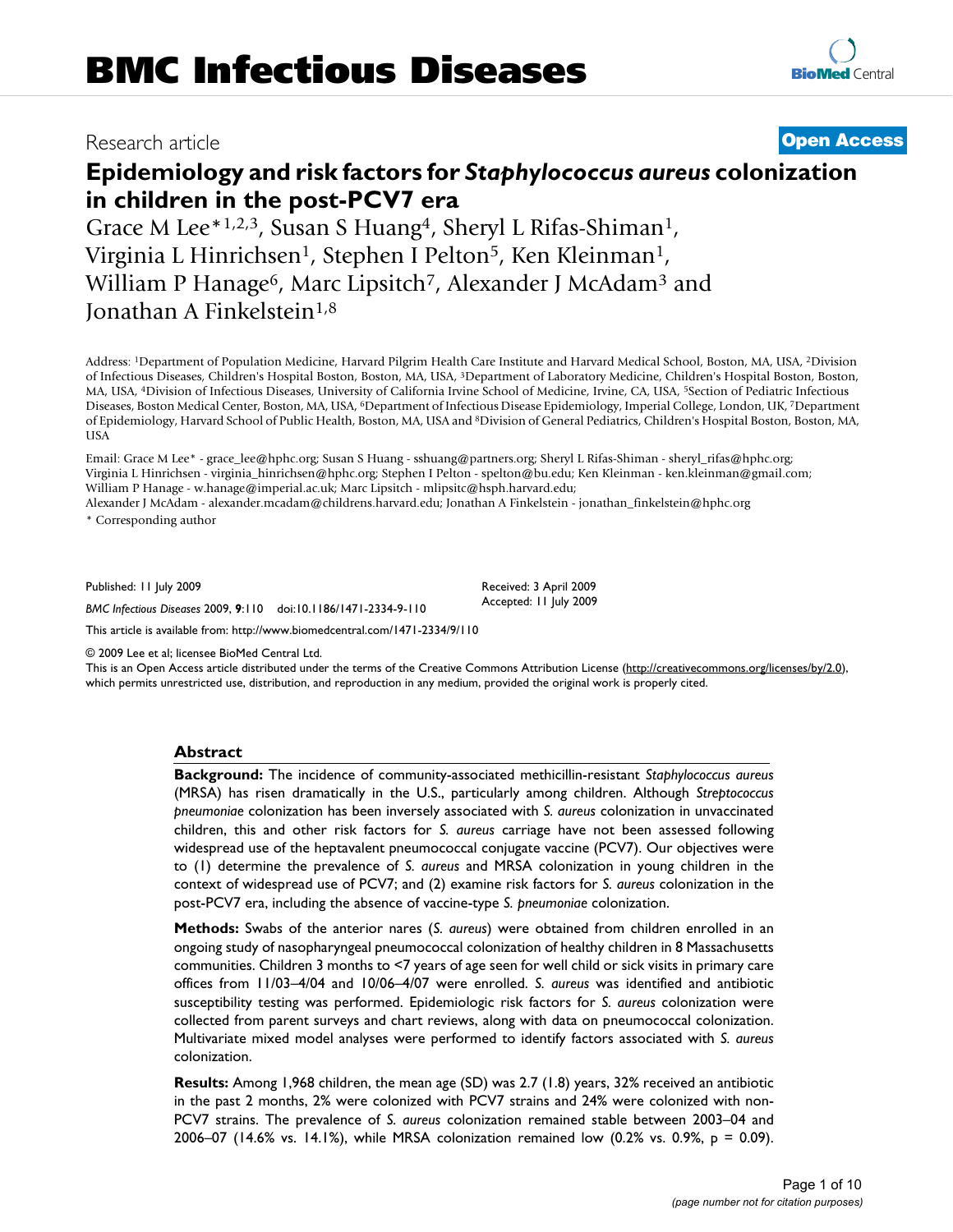# Research article **[Open Access](http://www.biomedcentral.com/info/about/charter/)**

# **Epidemiology and risk factors for** *Staphylococcus aureus* **colonization in children in the post-PCV7 era**

Grace M Lee\*1,2,3, Susan S Huang<sup>4</sup>, Sheryl L Rifas-Shiman<sup>1</sup>, Virginia L Hinrichsen<sup>1</sup>, Stephen I Pelton<sup>5</sup>, Ken Kleinman<sup>1</sup>, William P Hanage<sup>6</sup>, Marc Lipsitch<sup>7</sup>, Alexander J McAdam<sup>3</sup> and Jonathan A Finkelstein<sup>1,8</sup>

Address: 1Department of Population Medicine, Harvard Pilgrim Health Care Institute and Harvard Medical School, Boston, MA, USA, 2Division of Infectious Diseases, Children's Hospital Boston, Boston, MA, USA, 3Department of Laboratory Medicine, Children's Hospital Boston, Boston, MA, USA, 4Division of Infectious Diseases, University of California Irvine School of Medicine, Irvine, CA, USA, 5Section of Pediatric Infectious Diseases, Boston Medical Center, Boston, MA, USA, 6Department of Infectious Disease Epidemiology, Imperial College, London, UK, 7Department of Epidemiology, Harvard School of Public Health, Boston, MA, USA and 8Division of General Pediatrics, Children's Hospital Boston, Boston, MA, USA

Email: Grace M Lee\* - grace\_lee@hphc.org; Susan S Huang - sshuang@partners.org; Sheryl L Rifas-Shiman - sheryl\_rifas@hphc.org; Virginia L Hinrichsen - virginia\_hinrichsen@hphc.org; Stephen I Pelton - spelton@bu.edu; Ken Kleinman - ken.kleinman@gmail.com; William P Hanage - w.hanage@imperial.ac.uk; Marc Lipsitch - mlipsitc@hsph.harvard.edu;

Alexander J McAdam - alexander.mcadam@childrens.harvard.edu; Jonathan A Finkelstein - jonathan\_finkelstein@hphc.org \* Corresponding author

Published: 11 July 2009

*BMC Infectious Diseases* 2009, **9**:110 doi:10.1186/1471-2334-9-110

[This article is available from: http://www.biomedcentral.com/1471-2334/9/110](http://www.biomedcentral.com/1471-2334/9/110)

© 2009 Lee et al; licensee BioMed Central Ltd.

This is an Open Access article distributed under the terms of the Creative Commons Attribution License [\(http://creativecommons.org/licenses/by/2.0\)](http://creativecommons.org/licenses/by/2.0), which permits unrestricted use, distribution, and reproduction in any medium, provided the original work is properly cited.

Received: 3 April 2009 Accepted: 11 July 2009

# **Abstract**

**Background:** The incidence of community-associated methicillin-resistant *Staphylococcus aureus* (MRSA) has risen dramatically in the U.S., particularly among children. Although *Streptococcus pneumoniae* colonization has been inversely associated with *S. aureus* colonization in unvaccinated children, this and other risk factors for *S. aureus* carriage have not been assessed following widespread use of the heptavalent pneumococcal conjugate vaccine (PCV7). Our objectives were to (1) determine the prevalence of *S. aureus* and MRSA colonization in young children in the context of widespread use of PCV7; and (2) examine risk factors for *S. aureus* colonization in the post-PCV7 era, including the absence of vaccine-type *S. pneumoniae* colonization.

**Methods:** Swabs of the anterior nares (*S. aureus*) were obtained from children enrolled in an ongoing study of nasopharyngeal pneumococcal colonization of healthy children in 8 Massachusetts communities. Children 3 months to <7 years of age seen for well child or sick visits in primary care offices from 11/03–4/04 and 10/06–4/07 were enrolled. *S. aureus* was identified and antibiotic susceptibility testing was performed. Epidemiologic risk factors for *S. aureus* colonization were collected from parent surveys and chart reviews, along with data on pneumococcal colonization. Multivariate mixed model analyses were performed to identify factors associated with *S. aureus* colonization.

**Results:** Among 1,968 children, the mean age (SD) was 2.7 (1.8) years, 32% received an antibiotic in the past 2 months, 2% were colonized with PCV7 strains and 24% were colonized with non-PCV7 strains. The prevalence of *S. aureus* colonization remained stable between 2003–04 and 2006–07 (14.6% vs. 14.1%), while MRSA colonization remained low (0.2% vs. 0.9%, p = 0.09).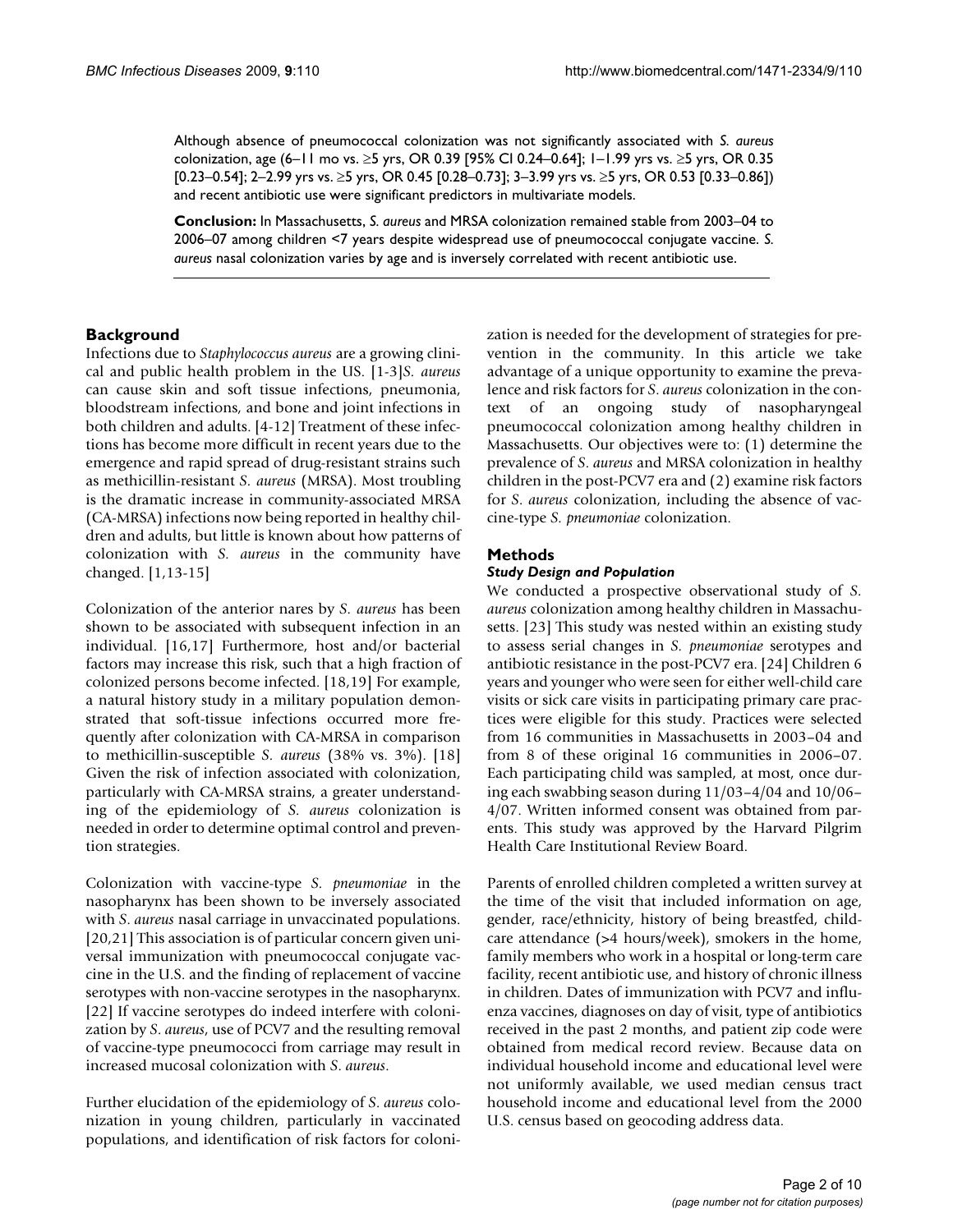Although absence of pneumococcal colonization was not significantly associated with *S. aureus* colonization, age (6–11 mo vs. ≥5 yrs, OR 0.39 [95% CI 0.24–0.64]; 1–1.99 yrs vs. ≥5 yrs, OR 0.35 [0.23–0.54]; 2–2.99 yrs vs. ≥5 yrs, OR 0.45 [0.28–0.73]; 3–3.99 yrs vs. ≥5 yrs, OR 0.53 [0.33–0.86]) and recent antibiotic use were significant predictors in multivariate models.

**Conclusion:** In Massachusetts, *S. aureus* and MRSA colonization remained stable from 2003–04 to 2006–07 among children <7 years despite widespread use of pneumococcal conjugate vaccine. *S. aureus* nasal colonization varies by age and is inversely correlated with recent antibiotic use.

# **Background**

Infections due to *Staphylococcus aureus* are a growing clinical and public health problem in the US. [1-3]*S. aureus* can cause skin and soft tissue infections, pneumonia, bloodstream infections, and bone and joint infections in both children and adults. [4-12] Treatment of these infections has become more difficult in recent years due to the emergence and rapid spread of drug-resistant strains such as methicillin-resistant *S. aureus* (MRSA). Most troubling is the dramatic increase in community-associated MRSA (CA-MRSA) infections now being reported in healthy children and adults, but little is known about how patterns of colonization with *S. aureus* in the community have changed. [1,13-15]

Colonization of the anterior nares by *S. aureus* has been shown to be associated with subsequent infection in an individual. [16,17] Furthermore, host and/or bacterial factors may increase this risk, such that a high fraction of colonized persons become infected. [18,19] For example, a natural history study in a military population demonstrated that soft-tissue infections occurred more frequently after colonization with CA-MRSA in comparison to methicillin-susceptible *S. aureus* (38% vs. 3%). [18] Given the risk of infection associated with colonization, particularly with CA-MRSA strains, a greater understanding of the epidemiology of *S. aureus* colonization is needed in order to determine optimal control and prevention strategies.

Colonization with vaccine-type *S. pneumoniae* in the nasopharynx has been shown to be inversely associated with *S*. *aureus* nasal carriage in unvaccinated populations. [20,21] This association is of particular concern given universal immunization with pneumococcal conjugate vaccine in the U.S. and the finding of replacement of vaccine serotypes with non-vaccine serotypes in the nasopharynx. [22] If vaccine serotypes do indeed interfere with colonization by *S*. *aureus*, use of PCV7 and the resulting removal of vaccine-type pneumococci from carriage may result in increased mucosal colonization with *S*. *aureus*.

Further elucidation of the epidemiology of *S*. *aureus* colonization in young children, particularly in vaccinated populations, and identification of risk factors for colonization is needed for the development of strategies for prevention in the community. In this article we take advantage of a unique opportunity to examine the prevalence and risk factors for *S*. *aureus* colonization in the context of an ongoing study of nasopharyngeal pneumococcal colonization among healthy children in Massachusetts. Our objectives were to: (1) determine the prevalence of *S*. *aureus* and MRSA colonization in healthy children in the post-PCV7 era and (2) examine risk factors for *S*. *aureus* colonization, including the absence of vaccine-type *S. pneumoniae* colonization.

# **Methods**

#### *Study Design and Population*

We conducted a prospective observational study of *S. aureus* colonization among healthy children in Massachusetts. [23] This study was nested within an existing study to assess serial changes in *S. pneumoniae* serotypes and antibiotic resistance in the post-PCV7 era. [24] Children 6 years and younger who were seen for either well-child care visits or sick care visits in participating primary care practices were eligible for this study. Practices were selected from 16 communities in Massachusetts in 2003–04 and from 8 of these original 16 communities in 2006–07. Each participating child was sampled, at most, once during each swabbing season during 11/03–4/04 and 10/06– 4/07. Written informed consent was obtained from parents. This study was approved by the Harvard Pilgrim Health Care Institutional Review Board.

Parents of enrolled children completed a written survey at the time of the visit that included information on age, gender, race/ethnicity, history of being breastfed, childcare attendance (>4 hours/week), smokers in the home, family members who work in a hospital or long-term care facility, recent antibiotic use, and history of chronic illness in children. Dates of immunization with PCV7 and influenza vaccines, diagnoses on day of visit, type of antibiotics received in the past 2 months, and patient zip code were obtained from medical record review. Because data on individual household income and educational level were not uniformly available, we used median census tract household income and educational level from the 2000 U.S. census based on geocoding address data.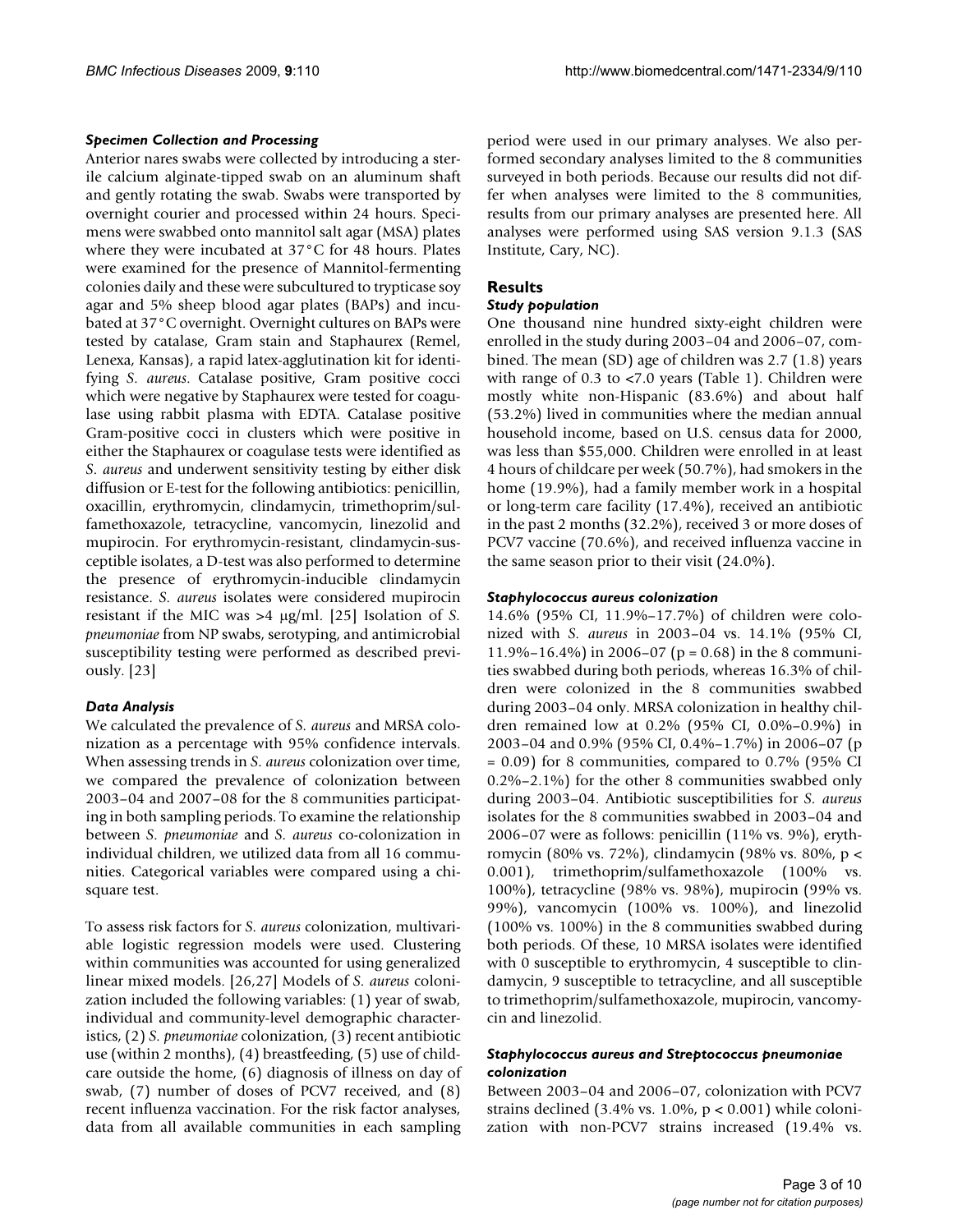# *Specimen Collection and Processing*

Anterior nares swabs were collected by introducing a sterile calcium alginate-tipped swab on an aluminum shaft and gently rotating the swab. Swabs were transported by overnight courier and processed within 24 hours. Specimens were swabbed onto mannitol salt agar (MSA) plates where they were incubated at 37°C for 48 hours. Plates were examined for the presence of Mannitol-fermenting colonies daily and these were subcultured to trypticase soy agar and 5% sheep blood agar plates (BAPs) and incubated at 37°C overnight. Overnight cultures on BAPs were tested by catalase, Gram stain and Staphaurex (Remel, Lenexa, Kansas), a rapid latex-agglutination kit for identifying *S. aureus*. Catalase positive, Gram positive cocci which were negative by Staphaurex were tested for coagulase using rabbit plasma with EDTA. Catalase positive Gram-positive cocci in clusters which were positive in either the Staphaurex or coagulase tests were identified as *S. aureus* and underwent sensitivity testing by either disk diffusion or E-test for the following antibiotics: penicillin, oxacillin, erythromycin, clindamycin, trimethoprim/sulfamethoxazole, tetracycline, vancomycin, linezolid and mupirocin. For erythromycin-resistant, clindamycin-susceptible isolates, a D-test was also performed to determine the presence of erythromycin-inducible clindamycin resistance. *S. aureus* isolates were considered mupirocin resistant if the MIC was >4 μg/ml. [25] Isolation of *S. pneumoniae* from NP swabs, serotyping, and antimicrobial susceptibility testing were performed as described previously. [23]

# *Data Analysis*

We calculated the prevalence of *S. aureus* and MRSA colonization as a percentage with 95% confidence intervals. When assessing trends in *S. aureus* colonization over time, we compared the prevalence of colonization between 2003–04 and 2007–08 for the 8 communities participating in both sampling periods. To examine the relationship between *S. pneumoniae* and *S. aureus* co-colonization in individual children, we utilized data from all 16 communities. Categorical variables were compared using a chisquare test.

To assess risk factors for *S. aureus* colonization, multivariable logistic regression models were used. Clustering within communities was accounted for using generalized linear mixed models. [26,27] Models of *S. aureus* colonization included the following variables: (1) year of swab, individual and community-level demographic characteristics, (2) *S. pneumoniae* colonization, (3) recent antibiotic use (within 2 months), (4) breastfeeding, (5) use of childcare outside the home, (6) diagnosis of illness on day of swab, (7) number of doses of PCV7 received, and (8) recent influenza vaccination. For the risk factor analyses, data from all available communities in each sampling period were used in our primary analyses. We also performed secondary analyses limited to the 8 communities surveyed in both periods. Because our results did not differ when analyses were limited to the 8 communities, results from our primary analyses are presented here. All analyses were performed using SAS version 9.1.3 (SAS Institute, Cary, NC).

# **Results**

# *Study population*

One thousand nine hundred sixty-eight children were enrolled in the study during 2003–04 and 2006–07, combined. The mean (SD) age of children was 2.7 (1.8) years with range of 0.3 to <7.0 years (Table 1). Children were mostly white non-Hispanic (83.6%) and about half (53.2%) lived in communities where the median annual household income, based on U.S. census data for 2000, was less than \$55,000. Children were enrolled in at least 4 hours of childcare per week (50.7%), had smokers in the home (19.9%), had a family member work in a hospital or long-term care facility (17.4%), received an antibiotic in the past 2 months (32.2%), received 3 or more doses of PCV7 vaccine (70.6%), and received influenza vaccine in the same season prior to their visit (24.0%).

### *Staphylococcus aureus colonization*

14.6% (95% CI, 11.9%–17.7%) of children were colonized with *S. aureus* in 2003–04 vs. 14.1% (95% CI, 11.9%–16.4%) in 2006–07 ( $p = 0.68$ ) in the 8 communities swabbed during both periods, whereas 16.3% of children were colonized in the 8 communities swabbed during 2003–04 only. MRSA colonization in healthy children remained low at 0.2% (95% CI, 0.0%–0.9%) in 2003–04 and 0.9% (95% CI, 0.4%–1.7%) in 2006–07 (p  $= 0.09$ ) for 8 communities, compared to 0.7% (95% CI 0.2%–2.1%) for the other 8 communities swabbed only during 2003–04. Antibiotic susceptibilities for *S. aureus* isolates for the 8 communities swabbed in 2003–04 and 2006–07 were as follows: penicillin (11% vs. 9%), erythromycin (80% vs. 72%), clindamycin (98% vs. 80%, p < 0.001), trimethoprim/sulfamethoxazole (100% vs. 100%), tetracycline (98% vs. 98%), mupirocin (99% vs. 99%), vancomycin (100% vs. 100%), and linezolid (100% vs. 100%) in the 8 communities swabbed during both periods. Of these, 10 MRSA isolates were identified with 0 susceptible to erythromycin, 4 susceptible to clindamycin, 9 susceptible to tetracycline, and all susceptible to trimethoprim/sulfamethoxazole, mupirocin, vancomycin and linezolid.

### *Staphylococcus aureus and Streptococcus pneumoniae colonization*

Between 2003–04 and 2006–07, colonization with PCV7 strains declined (3.4% vs.  $1.0\%$ ,  $p < 0.001$ ) while colonization with non-PCV7 strains increased (19.4% vs.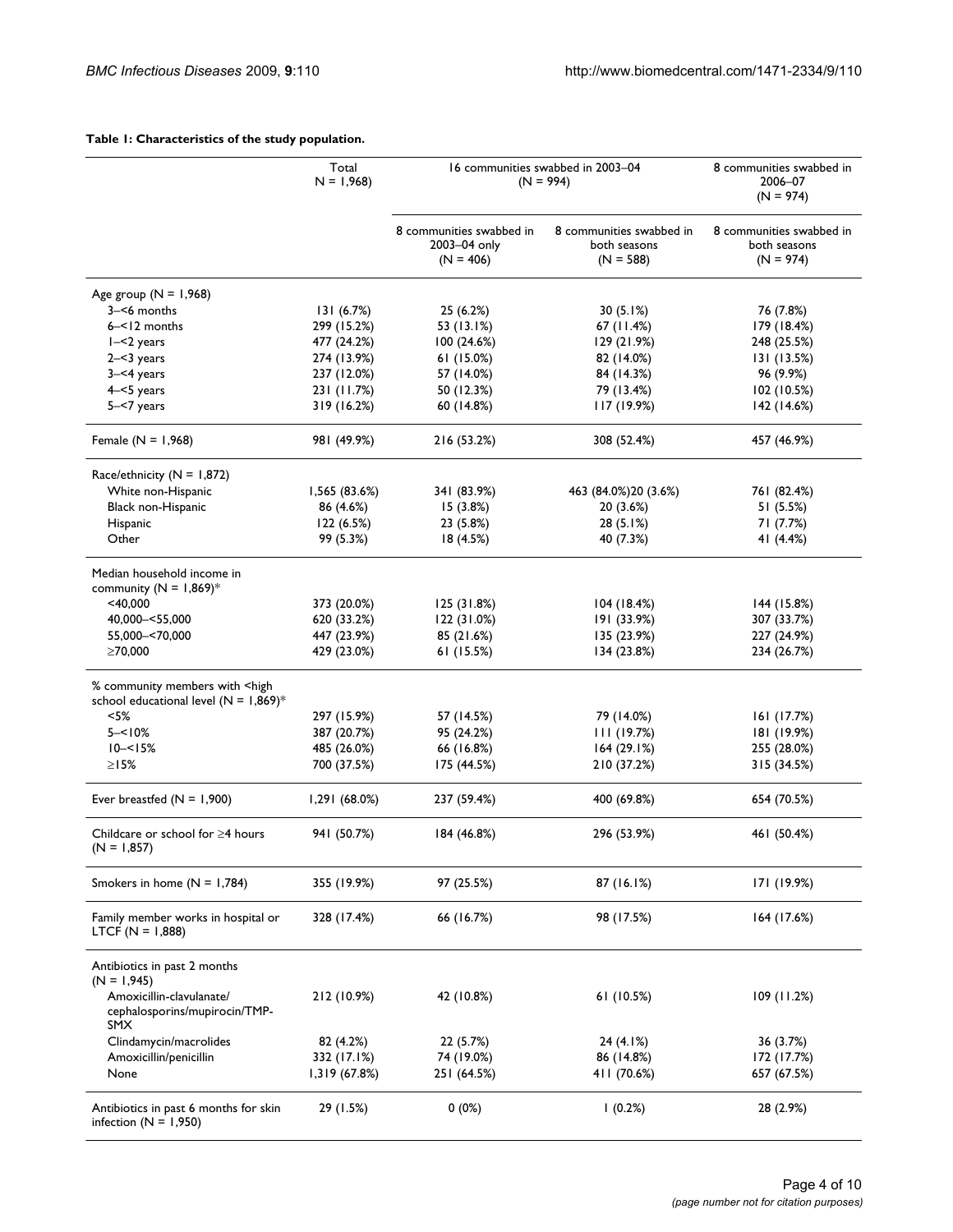### **Table 1: Characteristics of the study population.**

|                                                                                                | Total<br>$N = 1,968$ | 16 communities swabbed in 2003-04<br>$(N = 994)$        |                                                         | 8 communities swabbed in<br>2006-07<br>$(N = 974)$      |  |
|------------------------------------------------------------------------------------------------|----------------------|---------------------------------------------------------|---------------------------------------------------------|---------------------------------------------------------|--|
|                                                                                                |                      | 8 communities swabbed in<br>2003-04 only<br>$(N = 406)$ | 8 communities swabbed in<br>both seasons<br>$(N = 588)$ | 8 communities swabbed in<br>both seasons<br>$(N = 974)$ |  |
| Age group $(N = 1,968)$                                                                        |                      |                                                         |                                                         |                                                         |  |
| 3-<6 months                                                                                    | 131(6.7%)            | 25 (6.2%)                                               | 30(5.1%)                                                | 76 (7.8%)                                               |  |
| $6 - 12$ months                                                                                | 299 (15.2%)          | 53 (13.1%)                                              | 67 (11.4%)                                              | 179 (18.4%)                                             |  |
| $I - 2$ years                                                                                  | 477 (24.2%)          | 100 (24.6%)                                             | 129 (21.9%)                                             | 248 (25.5%)                                             |  |
| $2 - 3$ years                                                                                  | 274 (13.9%)          | 61(15.0%)                                               | 82 (14.0%)                                              | 131 (13.5%)                                             |  |
| $3 - 4$ years                                                                                  | 237 (12.0%)          | 57 (14.0%)                                              | 84 (14.3%)                                              | 96 (9.9%)                                               |  |
| $4 - 5$ years                                                                                  | 231 (11.7%)          | 50 (12.3%)                                              | 79 (13.4%)                                              | 102 (10.5%)                                             |  |
| 5-<7 years                                                                                     | 319 (16.2%)          | 60 (14.8%)                                              | 117(19.9%)                                              | 142 (14.6%)                                             |  |
| Female ( $N = 1,968$ )                                                                         | 981 (49.9%)          | 216 (53.2%)                                             | 308 (52.4%)                                             | 457 (46.9%)                                             |  |
| Race/ethnicity ( $N = 1,872$ )                                                                 |                      |                                                         |                                                         |                                                         |  |
| White non-Hispanic                                                                             | 1,565 (83.6%)        | 341 (83.9%)                                             | 463 (84.0%) 20 (3.6%)                                   | 761 (82.4%)                                             |  |
| <b>Black non-Hispanic</b>                                                                      | 86 (4.6%)            | 15(3.8%)                                                | 20 (3.6%)                                               | 51 (5.5%)                                               |  |
| Hispanic                                                                                       | 122 (6.5%)           | 23 (5.8%)                                               | 28 (5.1%)                                               | 71 (7.7%)                                               |  |
| Other                                                                                          | 99 (5.3%)            | 18 (4.5%)                                               | 40 (7.3%)                                               | 41 (4.4%)                                               |  |
| Median household income in<br>community ( $N = 1,869$ )*                                       |                      |                                                         |                                                         |                                                         |  |
| $<$ 40,000                                                                                     | 373 (20.0%)          | 125 (31.8%)                                             | 104 (18.4%)                                             | 144 (15.8%)                                             |  |
| 40,000 - < 55,000                                                                              | 620 (33.2%)          | 122(31.0%)                                              | 191 (33.9%)                                             | 307 (33.7%)                                             |  |
| 55,000 - < 70,000                                                                              | 447 (23.9%)          | 85 (21.6%)                                              | 135 (23.9%)                                             | 227 (24.9%)                                             |  |
| ≥70,000                                                                                        | 429 (23.0%)          | 61(15.5%)                                               | 134(23.8%)                                              | 234 (26.7%)                                             |  |
| % community members with <high<br>school educational level (<math>N = 1,869</math>)*</high<br> |                      |                                                         |                                                         |                                                         |  |
| $< 5\%$                                                                                        | 297 (15.9%)          | 57 (14.5%)                                              | 79 (14.0%)                                              | 161(17.7%)                                              |  |
| $5 - 10%$                                                                                      | 387 (20.7%)          | 95 (24.2%)                                              | 111(19.7%)                                              | 181 (19.9%)                                             |  |
| $10 - 5%$                                                                                      | 485 (26.0%)          | 66 (16.8%)                                              | 164(29.1%)                                              | 255 (28.0%)                                             |  |
| $\geq$ 15%                                                                                     | 700 (37.5%)          | 175 (44.5%)                                             | 210 (37.2%)                                             | 315 (34.5%)                                             |  |
| Ever breastfed $(N = 1,900)$                                                                   | 1,291(68.0%)         | 237 (59.4%)                                             | 400 (69.8%)                                             | 654 (70.5%)                                             |  |
| Childcare or school for $\geq$ 4 hours<br>$(N = 1,857)$                                        | 941 (50.7%)          | 184 (46.8%)                                             | 296 (53.9%)                                             | 461 (50.4%)                                             |  |
| Smokers in home $(N = 1,784)$                                                                  | 355 (19.9%)          | 97 (25.5%)                                              | 87 (16.1%)                                              | 171 (19.9%)                                             |  |
| Family member works in hospital or<br>$LTCF (N = 1,888)$                                       | 328 (17.4%)          | 66 (16.7%)                                              | 98 (17.5%)                                              | 164 (17.6%)                                             |  |
| Antibiotics in past 2 months<br>$(N = 1,945)$                                                  |                      |                                                         |                                                         |                                                         |  |
| Amoxicillin-clavulanate/<br>cephalosporins/mupirocin/TMP-<br><b>SMX</b>                        | 212 (10.9%)          | 42 (10.8%)                                              | 61(10.5%)                                               | 109 (11.2%)                                             |  |
| Clindamycin/macrolides                                                                         | 82 (4.2%)            | 22 (5.7%)                                               | 24 (4.1%)                                               | 36 (3.7%)                                               |  |
| Amoxicillin/penicillin                                                                         | 332 (17.1%)          | 74 (19.0%)                                              | 86 (14.8%)                                              | 172 (17.7%)                                             |  |
| None                                                                                           | 1,319 (67.8%)        | 251 (64.5%)                                             | 411 (70.6%)                                             | 657 (67.5%)                                             |  |
| Antibiotics in past 6 months for skin<br>infection ( $N = 1,950$ )                             | 29 (1.5%)            | $0(0\%)$                                                | $(0.2\%)$                                               | 28 (2.9%)                                               |  |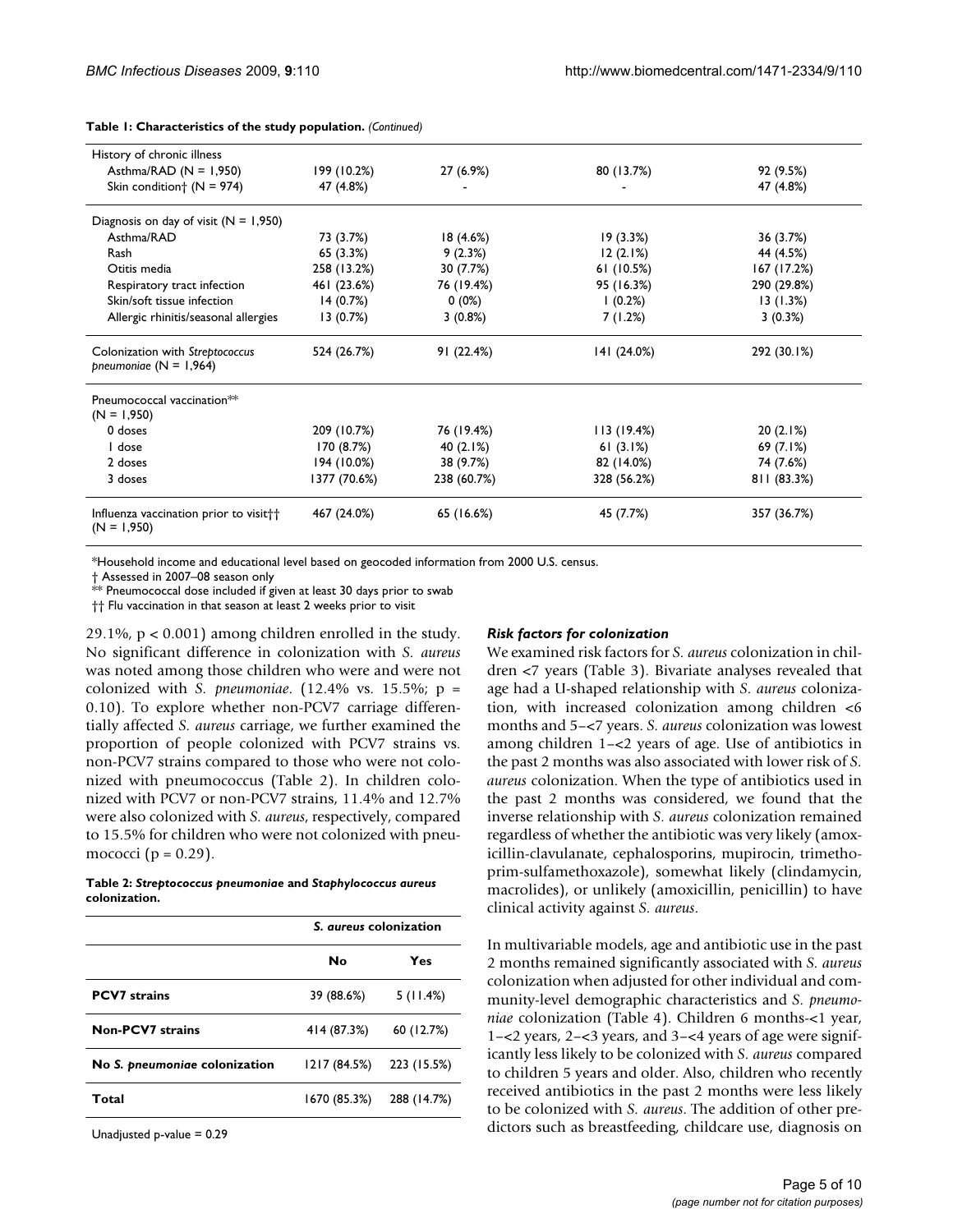| History of chronic illness                                          |              |             |             |             |
|---------------------------------------------------------------------|--------------|-------------|-------------|-------------|
| Asthma/RAD ( $N = 1,950$ )                                          | 199 (10.2%)  | 27 (6.9%)   | 80 (13.7%)  | 92 (9.5%)   |
| Skin condition $\dagger$ (N = 974)                                  | 47 (4.8%)    |             |             | 47 (4.8%)   |
| Diagnosis on day of visit $(N = 1,950)$                             |              |             |             |             |
| Asthma/RAD                                                          | 73 (3.7%)    | 18(4.6%)    | 19(3.3%)    | 36 (3.7%)   |
| Rash                                                                | 65 (3.3%)    | 9(2.3%)     | 12(2.1%)    | 44 (4.5%)   |
| Otitis media                                                        | 258 (13.2%)  | 30 (7.7%)   | 61(10.5%)   | 167 (17.2%) |
| Respiratory tract infection                                         | 461 (23.6%)  | 76 (19.4%)  | 95 (16.3%)  | 290 (29.8%) |
| Skin/soft tissue infection                                          | 14(0.7%)     | $0(0\%)$    | (0.2%)      | 13(1.3%)    |
| Allergic rhinitis/seasonal allergies                                | 13(0.7%)     | 3(0.8%)     | 7 (1.2%)    | 3(0.3%)     |
| Colonization with Streptococcus<br>pneumoniae $(N = 1,964)$         | 524 (26.7%)  | 91 (22.4%)  | 141 (24.0%) | 292 (30.1%) |
| Pneumococcal vaccination <sup>**</sup>                              |              |             |             |             |
| $(N = 1,950)$<br>0 doses                                            | 209 (10.7%)  | 76 (19.4%)  | 113(19.4%)  | 20(2.1%)    |
| I dose                                                              | 170 (8.7%)   | 40 (2.1%)   | 61 $(3.1%)$ | 69 (7.1%)   |
| 2 doses                                                             | 194 (10.0%)  | 38 (9.7%)   | 82 (14.0%)  | 74 (7.6%)   |
|                                                                     |              |             |             |             |
| 3 doses                                                             | 1377 (70.6%) | 238 (60.7%) | 328 (56.2%) | 811 (83.3%) |
| Influenza vaccination prior to visit <sup>++</sup><br>$(N = 1,950)$ | 467 (24.0%)  | 65 (16.6%)  | 45 (7.7%)   | 357 (36.7%) |

**Table 1: Characteristics of the study population.** *(Continued)*

\*Household income and educational level based on geocoded information from 2000 U.S. census.

† Assessed in 2007–08 season only

\*\* Pneumococcal dose included if given at least 30 days prior to swab

†† Flu vaccination in that season at least 2 weeks prior to visit

29.1%, p < 0.001) among children enrolled in the study. No significant difference in colonization with *S. aureus* was noted among those children who were and were not colonized with *S. pneumoniae*. (12.4% vs. 15.5%; p = 0.10). To explore whether non-PCV7 carriage differentially affected *S. aureus* carriage, we further examined the proportion of people colonized with PCV7 strains vs. non-PCV7 strains compared to those who were not colonized with pneumococcus (Table 2). In children colonized with PCV7 or non-PCV7 strains, 11.4% and 12.7% were also colonized with *S. aureus*, respectively, compared to 15.5% for children who were not colonized with pneumococci ( $p = 0.29$ ).

#### **Table 2:** *Streptococcus pneumoniae* **and** *Staphylococcus aureus*  **colonization.**

|                               | S. <i>aureus</i> colonization |             |
|-------------------------------|-------------------------------|-------------|
|                               | No                            | Yes         |
| <b>PCV7</b> strains           | 39 (88.6%)                    | 5(11.4%)    |
| <b>Non-PCV7</b> strains       | 414 (87.3%)                   | 60 (12.7%)  |
| No S. pneumoniae colonization | 1217 (84.5%)                  | 223 (15.5%) |
| Total                         | 1670 (85.3%)                  | 288 (14.7%) |

Unadjusted p-value = 0.29

#### *Risk factors for colonization*

We examined risk factors for *S. aureus* colonization in children <7 years (Table 3). Bivariate analyses revealed that age had a U-shaped relationship with *S. aureus* colonization, with increased colonization among children <6 months and 5–<7 years. *S. aureus* colonization was lowest among children 1–<2 years of age. Use of antibiotics in the past 2 months was also associated with lower risk of *S. aureus* colonization. When the type of antibiotics used in the past 2 months was considered, we found that the inverse relationship with *S. aureus* colonization remained regardless of whether the antibiotic was very likely (amoxicillin-clavulanate, cephalosporins, mupirocin, trimethoprim-sulfamethoxazole), somewhat likely (clindamycin, macrolides), or unlikely (amoxicillin, penicillin) to have clinical activity against *S. aureus*.

In multivariable models, age and antibiotic use in the past 2 months remained significantly associated with *S. aureus* colonization when adjusted for other individual and community-level demographic characteristics and *S. pneumoniae* colonization (Table 4). Children 6 months-<1 year, 1–<2 years, 2–<3 years, and 3–<4 years of age were significantly less likely to be colonized with *S. aureus* compared to children 5 years and older. Also, children who recently received antibiotics in the past 2 months were less likely to be colonized with *S. aureus*. The addition of other predictors such as breastfeeding, childcare use, diagnosis on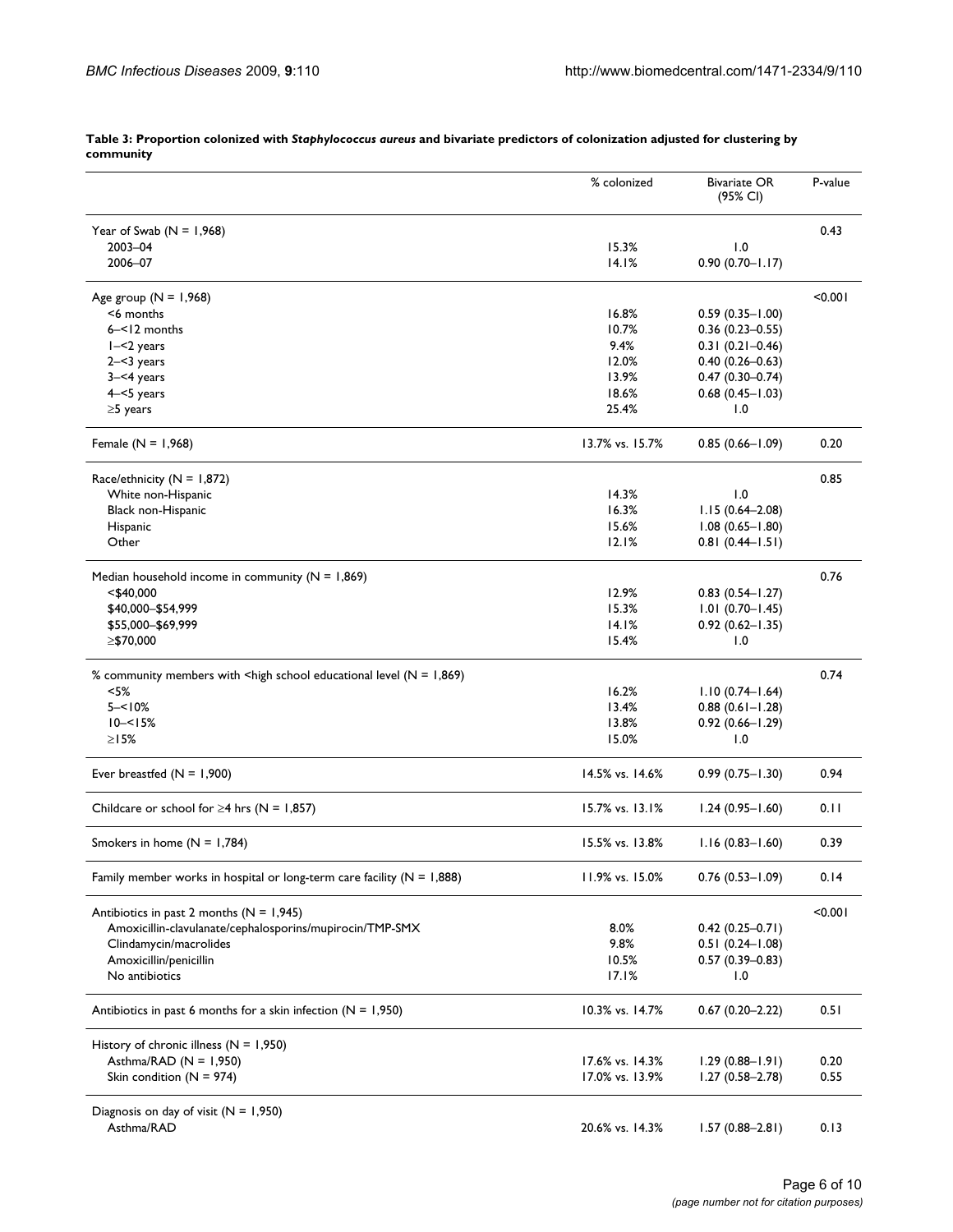|                                                                                                                            | % colonized     | <b>Bivariate OR</b><br>(95% CI) | P-value |
|----------------------------------------------------------------------------------------------------------------------------|-----------------|---------------------------------|---------|
| Year of Swab $(N = 1,968)$                                                                                                 |                 |                                 | 0.43    |
| 2003-04                                                                                                                    | 15.3%           | 1.0                             |         |
| 2006-07                                                                                                                    | 14.1%           | $0.90(0.70 - 1.17)$             |         |
| Age group $(N = 1,968)$                                                                                                    |                 |                                 | < 0.001 |
| <6 months                                                                                                                  | 16.8%           | $0.59(0.35 - 1.00)$             |         |
| $6 - 12$ months                                                                                                            | 10.7%           | $0.36(0.23 - 0.55)$             |         |
| $I - < 2$ years                                                                                                            | 9.4%            | $0.31(0.21 - 0.46)$             |         |
| $2 - 3$ years                                                                                                              | 12.0%           | $0.40(0.26 - 0.63)$             |         |
| $3 - 4$ years                                                                                                              | 13.9%           | $0.47(0.30 - 0.74)$             |         |
| $4 - 5$ years                                                                                                              | 18.6%           | $0.68(0.45 - 1.03)$             |         |
| $\geq$ 5 years                                                                                                             | 25.4%           | 1.0                             |         |
| Female ( $N = 1,968$ )                                                                                                     | 13.7% vs. 15.7% | $0.85(0.66 - 1.09)$             | 0.20    |
| Race/ethnicity (N = 1,872)                                                                                                 |                 |                                 | 0.85    |
| White non-Hispanic                                                                                                         | 14.3%           | 1.0                             |         |
| Black non-Hispanic                                                                                                         | 16.3%           | $1.15(0.64 - 2.08)$             |         |
| Hispanic                                                                                                                   | 15.6%           | $1.08(0.65 - 1.80)$             |         |
| Other                                                                                                                      | 12.1%           | $0.81(0.44 - 1.51)$             |         |
|                                                                                                                            |                 |                                 |         |
| Median household income in community ( $N = 1,869$ )                                                                       |                 |                                 | 0.76    |
| <\$40,000                                                                                                                  | 12.9%           | $0.83$ $(0.54 - 1.27)$          |         |
| \$40,000 - \$54,999                                                                                                        | 15.3%           | $1.01(0.70 - 1.45)$             |         |
| \$55,000-\$69,999                                                                                                          | 14.1%           | $0.92(0.62 - 1.35)$             |         |
| ≥\$70,000                                                                                                                  | 15.4%           | 1.0                             |         |
| % community members with <high (n="1,869)&lt;/td" educational="" level="" school=""><td></td><td></td><td>0.74</td></high> |                 |                                 | 0.74    |
| $<$ 5%                                                                                                                     | 16.2%           | $1.10(0.74 - 1.64)$             |         |
| $5 - 10%$                                                                                                                  | 13.4%           | $0.88(0.61 - 1.28)$             |         |
| $10 - 5%$                                                                                                                  | 13.8%           | $0.92(0.66 - 1.29)$             |         |
| $\geq$ 15%                                                                                                                 | 15.0%           | 1.0                             |         |
| Ever breastfed $(N = 1,900)$                                                                                               | 14.5% vs. 14.6% | $0.99(0.75 - 1.30)$             | 0.94    |
| Childcare or school for $\geq$ 4 hrs (N = 1,857)                                                                           | 15.7% vs. 13.1% | $1.24(0.95 - 1.60)$             | 0.11    |
| Smokers in home $(N = 1,784)$                                                                                              | 15.5% vs. 13.8% | $1.16(0.83 - 1.60)$             | 0.39    |
| Family member works in hospital or long-term care facility ( $N = 1,888$ )                                                 | 11.9% vs. 15.0% | $0.76(0.53 - 1.09)$             | 0.14    |
| Antibiotics in past 2 months ( $N = 1,945$ )                                                                               |                 |                                 | < 0.001 |
| Amoxicillin-clavulanate/cephalosporins/mupirocin/TMP-SMX                                                                   | 8.0%            | $0.42$ (0.25-0.71)              |         |
| Clindamycin/macrolides                                                                                                     | 9.8%            | $0.51(0.24 - 1.08)$             |         |
| Amoxicillin/penicillin                                                                                                     | 10.5%           | $0.57(0.39 - 0.83)$             |         |
| No antibiotics                                                                                                             | 17.1%           | 1.0                             |         |
| Antibiotics in past 6 months for a skin infection ( $N = 1,950$ )                                                          | 10.3% vs. 14.7% | $0.67(0.20 - 2.22)$             | 0.51    |
| History of chronic illness $(N = 1,950)$                                                                                   |                 |                                 |         |
| Asthma/RAD ( $N = 1,950$ )                                                                                                 | 17.6% vs. 14.3% | $1.29(0.88 - 1.91)$             | 0.20    |
| Skin condition ( $N = 974$ )                                                                                               | 17.0% vs. 13.9% | $1.27(0.58 - 2.78)$             | 0.55    |
| Diagnosis on day of visit $(N = 1,950)$                                                                                    |                 |                                 |         |
| Asthma/RAD                                                                                                                 | 20.6% vs. 14.3% | $1.57(0.88 - 2.81)$             | 0.13    |

**Table 3: Proportion colonized with** *Staphylococcus aureus* **and bivariate predictors of colonization adjusted for clustering by community**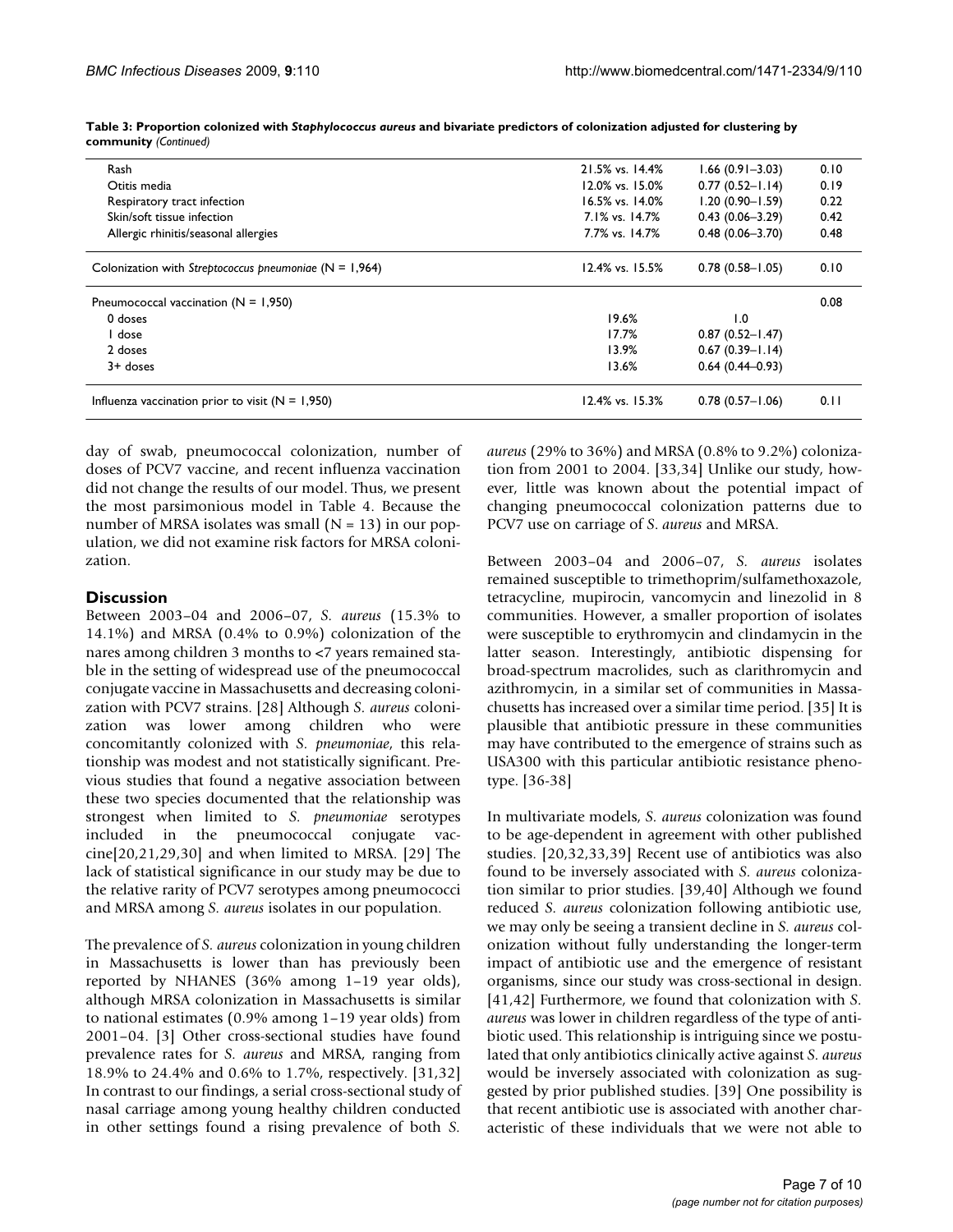| Rash                                                     | 21.5% vs. 14.4% | $1.66(0.91 - 3.03)$ | 0.10 |
|----------------------------------------------------------|-----------------|---------------------|------|
| Otitis media                                             | 12.0% vs. 15.0% | $0.77(0.52 - 1.14)$ | 0.19 |
| Respiratory tract infection                              | 16.5% vs. 14.0% | $1.20(0.90 - 1.59)$ | 0.22 |
| Skin/soft tissue infection                               | 7.1% vs. 14.7%  | $0.43(0.06 - 3.29)$ | 0.42 |
| Allergic rhinitis/seasonal allergies                     | 7.7% vs. 14.7%  | $0.48(0.06 - 3.70)$ | 0.48 |
| Colonization with Streptococcus pneumoniae $(N = 1,964)$ | 12.4% vs. 15.5% | $0.78(0.58 - 1.05)$ | 0.10 |
| Pneumococcal vaccination ( $N = 1,950$ )                 |                 |                     | 0.08 |
| 0 doses                                                  | 19.6%           | 1.0                 |      |
| dose                                                     | 17.7%           | $0.87(0.52 - 1.47)$ |      |
| 2 doses                                                  | 13.9%           | $0.67(0.39 - 1.14)$ |      |
| $3+$ doses                                               | 13.6%           | $0.64(0.44 - 0.93)$ |      |
| Influenza vaccination prior to visit $(N = 1,950)$       | 12.4% vs. 15.3% | $0.78(0.57 - 1.06)$ | 0.11 |
|                                                          |                 |                     |      |

**Table 3: Proportion colonized with** *Staphylococcus aureus* **and bivariate predictors of colonization adjusted for clustering by community** *(Continued)*

day of swab, pneumococcal colonization, number of doses of PCV7 vaccine, and recent influenza vaccination did not change the results of our model. Thus, we present the most parsimonious model in Table 4. Because the number of MRSA isolates was small  $(N = 13)$  in our population, we did not examine risk factors for MRSA colonization.

# **Discussion**

Between 2003–04 and 2006–07, *S. aureus* (15.3% to 14.1%) and MRSA (0.4% to 0.9%) colonization of the nares among children 3 months to <7 years remained stable in the setting of widespread use of the pneumococcal conjugate vaccine in Massachusetts and decreasing colonization with PCV7 strains. [\[28](#page-9-0)] Although *S. aureus* colonization was lower among children who were concomitantly colonized with *S. pneumoniae*, this relationship was modest and not statistically significant. Previous studies that found a negative association between these two species documented that the relationship was strongest when limited to *S. pneumoniae* serotypes included in the pneumococcal conjugate vaccine[20,21,29,30] and when limited to MRSA. [29] The lack of statistical significance in our study may be due to the relative rarity of PCV7 serotypes among pneumococci and MRSA among *S. aureus* isolates in our population.

The prevalence of *S. aureus* colonization in young children in Massachusetts is lower than has previously been reported by NHANES (36% among 1–19 year olds), although MRSA colonization in Massachusetts is similar to national estimates (0.9% among 1–19 year olds) from 2001–04. [3] Other cross-sectional studies have found prevalence rates for *S. aureus* and MRSA, ranging from 18.9% to 24.4% and 0.6% to 1.7%, respectively. [31,32] In contrast to our findings, a serial cross-sectional study of nasal carriage among young healthy children conducted in other settings found a rising prevalence of both *S.*

*aureus* (29% to 36%) and MRSA (0.8% to 9.2%) colonization from 2001 to 2004. [33,34] Unlike our study, however, little was known about the potential impact of changing pneumococcal colonization patterns due to PCV7 use on carriage of *S*. *aureus* and MRSA.

Between 2003–04 and 2006–07, *S. aureus* isolates remained susceptible to trimethoprim/sulfamethoxazole, tetracycline, mupirocin, vancomycin and linezolid in 8 communities. However, a smaller proportion of isolates were susceptible to erythromycin and clindamycin in the latter season. Interestingly, antibiotic dispensing for broad-spectrum macrolides, such as clarithromycin and azithromycin, in a similar set of communities in Massachusetts has increased over a similar time period. [35] It is plausible that antibiotic pressure in these communities may have contributed to the emergence of strains such as USA300 with this particular antibiotic resistance phenotype. [36-38]

In multivariate models, *S. aureus* colonization was found to be age-dependent in agreement with other published studies. [20,32,33,39] Recent use of antibiotics was also found to be inversely associated with *S. aureus* colonization similar to prior studies. [39,40] Although we found reduced *S. aureus* colonization following antibiotic use, we may only be seeing a transient decline in *S. aureus* colonization without fully understanding the longer-term impact of antibiotic use and the emergence of resistant organisms, since our study was cross-sectional in design. [41,42] Furthermore, we found that colonization with *S. aureus* was lower in children regardless of the type of antibiotic used. This relationship is intriguing since we postulated that only antibiotics clinically active against *S. aureus* would be inversely associated with colonization as suggested by prior published studies. [39] One possibility is that recent antibiotic use is associated with another characteristic of these individuals that we were not able to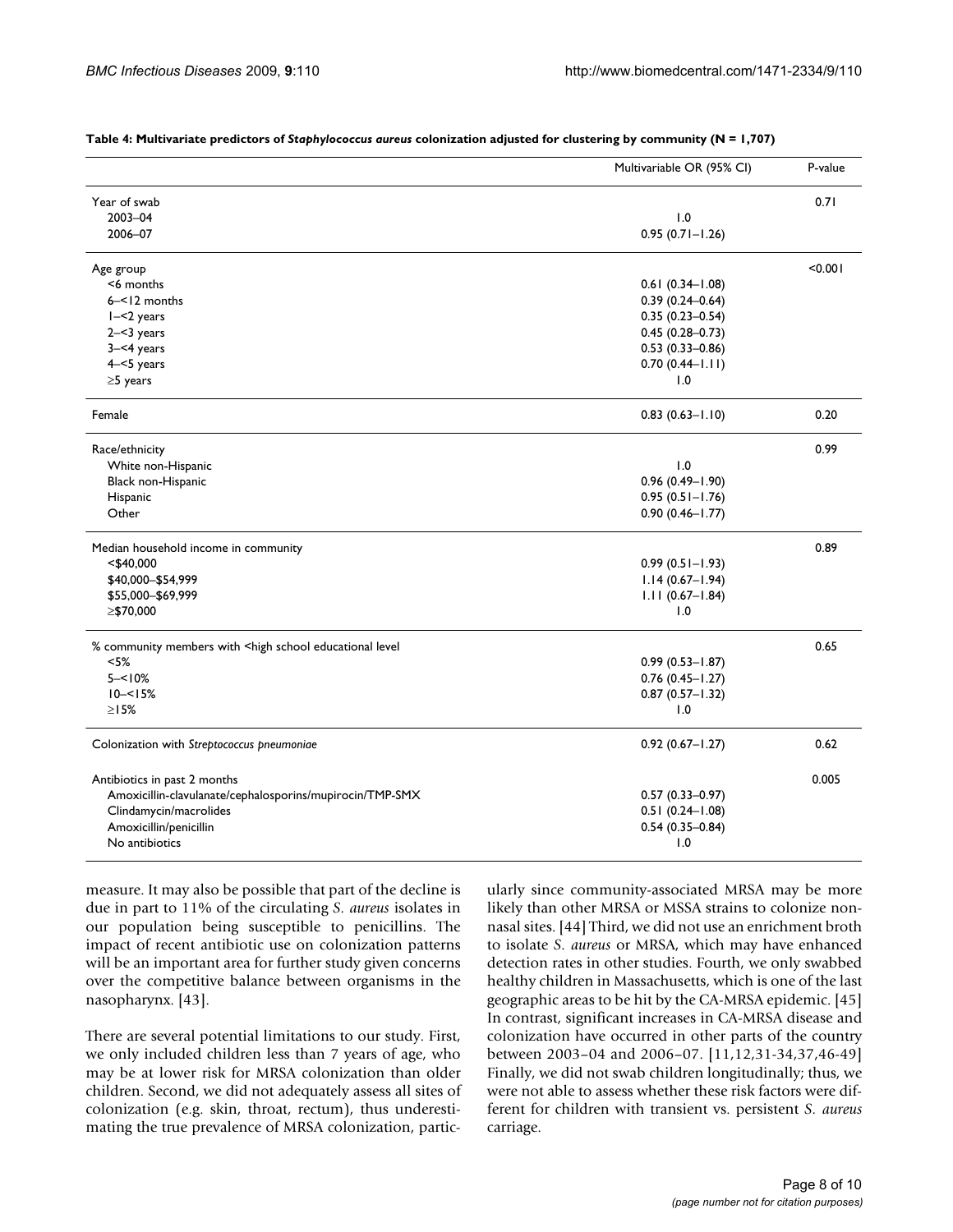| Year of swab<br>0.71<br>2003-04<br>1.0<br>2006-07<br>$0.95(0.71 - 1.26)$<br>< 0.001<br>Age group<br><6 months<br>$0.61(0.34 - 1.08)$<br>6-<12 months<br>$0.39(0.24 - 0.64)$<br>$I - 2$ years<br>$0.35(0.23 - 0.54)$<br>$0.45(0.28 - 0.73)$<br>$2 - 3$ years<br>$0.53(0.33 - 0.86)$<br>$3 - 4$ years<br>$4 - 5$ years<br>$0.70(0.44 - 1.11)$<br>1.0<br>$\geq$ 5 years<br>0.20<br>Female<br>$0.83(0.63 - 1.10)$<br>0.99<br>Race/ethnicity<br>1.0<br>White non-Hispanic<br>Black non-Hispanic<br>$0.96(0.49 - 1.90)$<br>Hispanic<br>$0.95(0.51 - 1.76)$<br>Other<br>$0.90(0.46 - 1.77)$<br>0.89<br>Median household income in community<br>$0.99(0.51 - 1.93)$<br><\$40,000<br>\$40,000-\$54,999<br>$1.14(0.67 - 1.94)$<br>\$55,000-\$69,999<br>$1.11(0.67 - 1.84)$<br>≥\$70,000<br>1.0<br>0.65<br>% community members with <high educational="" level<br="" school="">&lt; 5%<br/><math>0.99(0.53 - 1.87)</math><br/><math>5 - 10%</math><br/><math>0.76</math> <math>(0.45 - 1.27)</math><br/><math>10 - 5%</math><br/><math>0.87(0.57 - 1.32)</math><br/><math>\geq</math> 15%<br/>1.0<br/>Colonization with Streptococcus pneumoniae<br/><math>0.92(0.67 - 1.27)</math><br/>0.62<br/>0.005<br/>Antibiotics in past 2 months<br/>Amoxicillin-clavulanate/cephalosporins/mupirocin/TMP-SMX<br/><math>0.57(0.33 - 0.97)</math><br/>Clindamycin/macrolides<br/><math>0.51(0.24 - 1.08)</math><br/>Amoxicillin/penicillin<br/><math>0.54(0.35 - 0.84)</math><br/>No antibiotics<br/>1.0</high> | Multivariable OR (95% CI) | P-value |
|--------------------------------------------------------------------------------------------------------------------------------------------------------------------------------------------------------------------------------------------------------------------------------------------------------------------------------------------------------------------------------------------------------------------------------------------------------------------------------------------------------------------------------------------------------------------------------------------------------------------------------------------------------------------------------------------------------------------------------------------------------------------------------------------------------------------------------------------------------------------------------------------------------------------------------------------------------------------------------------------------------------------------------------------------------------------------------------------------------------------------------------------------------------------------------------------------------------------------------------------------------------------------------------------------------------------------------------------------------------------------------------------------------------------------------------------------------------------------------------------|---------------------------|---------|
|                                                                                                                                                                                                                                                                                                                                                                                                                                                                                                                                                                                                                                                                                                                                                                                                                                                                                                                                                                                                                                                                                                                                                                                                                                                                                                                                                                                                                                                                                            |                           |         |
|                                                                                                                                                                                                                                                                                                                                                                                                                                                                                                                                                                                                                                                                                                                                                                                                                                                                                                                                                                                                                                                                                                                                                                                                                                                                                                                                                                                                                                                                                            |                           |         |
|                                                                                                                                                                                                                                                                                                                                                                                                                                                                                                                                                                                                                                                                                                                                                                                                                                                                                                                                                                                                                                                                                                                                                                                                                                                                                                                                                                                                                                                                                            |                           |         |
|                                                                                                                                                                                                                                                                                                                                                                                                                                                                                                                                                                                                                                                                                                                                                                                                                                                                                                                                                                                                                                                                                                                                                                                                                                                                                                                                                                                                                                                                                            |                           |         |
|                                                                                                                                                                                                                                                                                                                                                                                                                                                                                                                                                                                                                                                                                                                                                                                                                                                                                                                                                                                                                                                                                                                                                                                                                                                                                                                                                                                                                                                                                            |                           |         |
|                                                                                                                                                                                                                                                                                                                                                                                                                                                                                                                                                                                                                                                                                                                                                                                                                                                                                                                                                                                                                                                                                                                                                                                                                                                                                                                                                                                                                                                                                            |                           |         |
|                                                                                                                                                                                                                                                                                                                                                                                                                                                                                                                                                                                                                                                                                                                                                                                                                                                                                                                                                                                                                                                                                                                                                                                                                                                                                                                                                                                                                                                                                            |                           |         |
|                                                                                                                                                                                                                                                                                                                                                                                                                                                                                                                                                                                                                                                                                                                                                                                                                                                                                                                                                                                                                                                                                                                                                                                                                                                                                                                                                                                                                                                                                            |                           |         |
|                                                                                                                                                                                                                                                                                                                                                                                                                                                                                                                                                                                                                                                                                                                                                                                                                                                                                                                                                                                                                                                                                                                                                                                                                                                                                                                                                                                                                                                                                            |                           |         |
|                                                                                                                                                                                                                                                                                                                                                                                                                                                                                                                                                                                                                                                                                                                                                                                                                                                                                                                                                                                                                                                                                                                                                                                                                                                                                                                                                                                                                                                                                            |                           |         |
|                                                                                                                                                                                                                                                                                                                                                                                                                                                                                                                                                                                                                                                                                                                                                                                                                                                                                                                                                                                                                                                                                                                                                                                                                                                                                                                                                                                                                                                                                            |                           |         |
|                                                                                                                                                                                                                                                                                                                                                                                                                                                                                                                                                                                                                                                                                                                                                                                                                                                                                                                                                                                                                                                                                                                                                                                                                                                                                                                                                                                                                                                                                            |                           |         |
|                                                                                                                                                                                                                                                                                                                                                                                                                                                                                                                                                                                                                                                                                                                                                                                                                                                                                                                                                                                                                                                                                                                                                                                                                                                                                                                                                                                                                                                                                            |                           |         |
|                                                                                                                                                                                                                                                                                                                                                                                                                                                                                                                                                                                                                                                                                                                                                                                                                                                                                                                                                                                                                                                                                                                                                                                                                                                                                                                                                                                                                                                                                            |                           |         |
|                                                                                                                                                                                                                                                                                                                                                                                                                                                                                                                                                                                                                                                                                                                                                                                                                                                                                                                                                                                                                                                                                                                                                                                                                                                                                                                                                                                                                                                                                            |                           |         |
|                                                                                                                                                                                                                                                                                                                                                                                                                                                                                                                                                                                                                                                                                                                                                                                                                                                                                                                                                                                                                                                                                                                                                                                                                                                                                                                                                                                                                                                                                            |                           |         |
|                                                                                                                                                                                                                                                                                                                                                                                                                                                                                                                                                                                                                                                                                                                                                                                                                                                                                                                                                                                                                                                                                                                                                                                                                                                                                                                                                                                                                                                                                            |                           |         |
|                                                                                                                                                                                                                                                                                                                                                                                                                                                                                                                                                                                                                                                                                                                                                                                                                                                                                                                                                                                                                                                                                                                                                                                                                                                                                                                                                                                                                                                                                            |                           |         |
|                                                                                                                                                                                                                                                                                                                                                                                                                                                                                                                                                                                                                                                                                                                                                                                                                                                                                                                                                                                                                                                                                                                                                                                                                                                                                                                                                                                                                                                                                            |                           |         |
|                                                                                                                                                                                                                                                                                                                                                                                                                                                                                                                                                                                                                                                                                                                                                                                                                                                                                                                                                                                                                                                                                                                                                                                                                                                                                                                                                                                                                                                                                            |                           |         |
|                                                                                                                                                                                                                                                                                                                                                                                                                                                                                                                                                                                                                                                                                                                                                                                                                                                                                                                                                                                                                                                                                                                                                                                                                                                                                                                                                                                                                                                                                            |                           |         |
|                                                                                                                                                                                                                                                                                                                                                                                                                                                                                                                                                                                                                                                                                                                                                                                                                                                                                                                                                                                                                                                                                                                                                                                                                                                                                                                                                                                                                                                                                            |                           |         |
|                                                                                                                                                                                                                                                                                                                                                                                                                                                                                                                                                                                                                                                                                                                                                                                                                                                                                                                                                                                                                                                                                                                                                                                                                                                                                                                                                                                                                                                                                            |                           |         |
|                                                                                                                                                                                                                                                                                                                                                                                                                                                                                                                                                                                                                                                                                                                                                                                                                                                                                                                                                                                                                                                                                                                                                                                                                                                                                                                                                                                                                                                                                            |                           |         |
|                                                                                                                                                                                                                                                                                                                                                                                                                                                                                                                                                                                                                                                                                                                                                                                                                                                                                                                                                                                                                                                                                                                                                                                                                                                                                                                                                                                                                                                                                            |                           |         |
|                                                                                                                                                                                                                                                                                                                                                                                                                                                                                                                                                                                                                                                                                                                                                                                                                                                                                                                                                                                                                                                                                                                                                                                                                                                                                                                                                                                                                                                                                            |                           |         |
|                                                                                                                                                                                                                                                                                                                                                                                                                                                                                                                                                                                                                                                                                                                                                                                                                                                                                                                                                                                                                                                                                                                                                                                                                                                                                                                                                                                                                                                                                            |                           |         |
|                                                                                                                                                                                                                                                                                                                                                                                                                                                                                                                                                                                                                                                                                                                                                                                                                                                                                                                                                                                                                                                                                                                                                                                                                                                                                                                                                                                                                                                                                            |                           |         |
|                                                                                                                                                                                                                                                                                                                                                                                                                                                                                                                                                                                                                                                                                                                                                                                                                                                                                                                                                                                                                                                                                                                                                                                                                                                                                                                                                                                                                                                                                            |                           |         |
|                                                                                                                                                                                                                                                                                                                                                                                                                                                                                                                                                                                                                                                                                                                                                                                                                                                                                                                                                                                                                                                                                                                                                                                                                                                                                                                                                                                                                                                                                            |                           |         |
|                                                                                                                                                                                                                                                                                                                                                                                                                                                                                                                                                                                                                                                                                                                                                                                                                                                                                                                                                                                                                                                                                                                                                                                                                                                                                                                                                                                                                                                                                            |                           |         |
|                                                                                                                                                                                                                                                                                                                                                                                                                                                                                                                                                                                                                                                                                                                                                                                                                                                                                                                                                                                                                                                                                                                                                                                                                                                                                                                                                                                                                                                                                            |                           |         |
|                                                                                                                                                                                                                                                                                                                                                                                                                                                                                                                                                                                                                                                                                                                                                                                                                                                                                                                                                                                                                                                                                                                                                                                                                                                                                                                                                                                                                                                                                            |                           |         |

**Table 4: Multivariate predictors of** *Staphylococcus aureus* **colonization adjusted for clustering by community (N = 1,707)**

measure. It may also be possible that part of the decline is due in part to 11% of the circulating *S. aureus* isolates in our population being susceptible to penicillins. The impact of recent antibiotic use on colonization patterns will be an important area for further study given concerns over the competitive balance between organisms in the nasopharynx. [43].

There are several potential limitations to our study. First, we only included children less than 7 years of age, who may be at lower risk for MRSA colonization than older children. Second, we did not adequately assess all sites of colonization (e.g. skin, throat, rectum), thus underestimating the true prevalence of MRSA colonization, particularly since community-associated MRSA may be more likely than other MRSA or MSSA strains to colonize nonnasal sites. [44] Third, we did not use an enrichment broth to isolate *S. aureus* or MRSA, which may have enhanced detection rates in other studies. Fourth, we only swabbed healthy children in Massachusetts, which is one of the last geographic areas to be hit by the CA-MRSA epidemic. [45] In contrast, significant increases in CA-MRSA disease and colonization have occurred in other parts of the country between 2003–04 and 2006–07. [11,12,31-34,37,46-49] Finally, we did not swab children longitudinally; thus, we were not able to assess whether these risk factors were different for children with transient vs. persistent *S. aureus* carriage.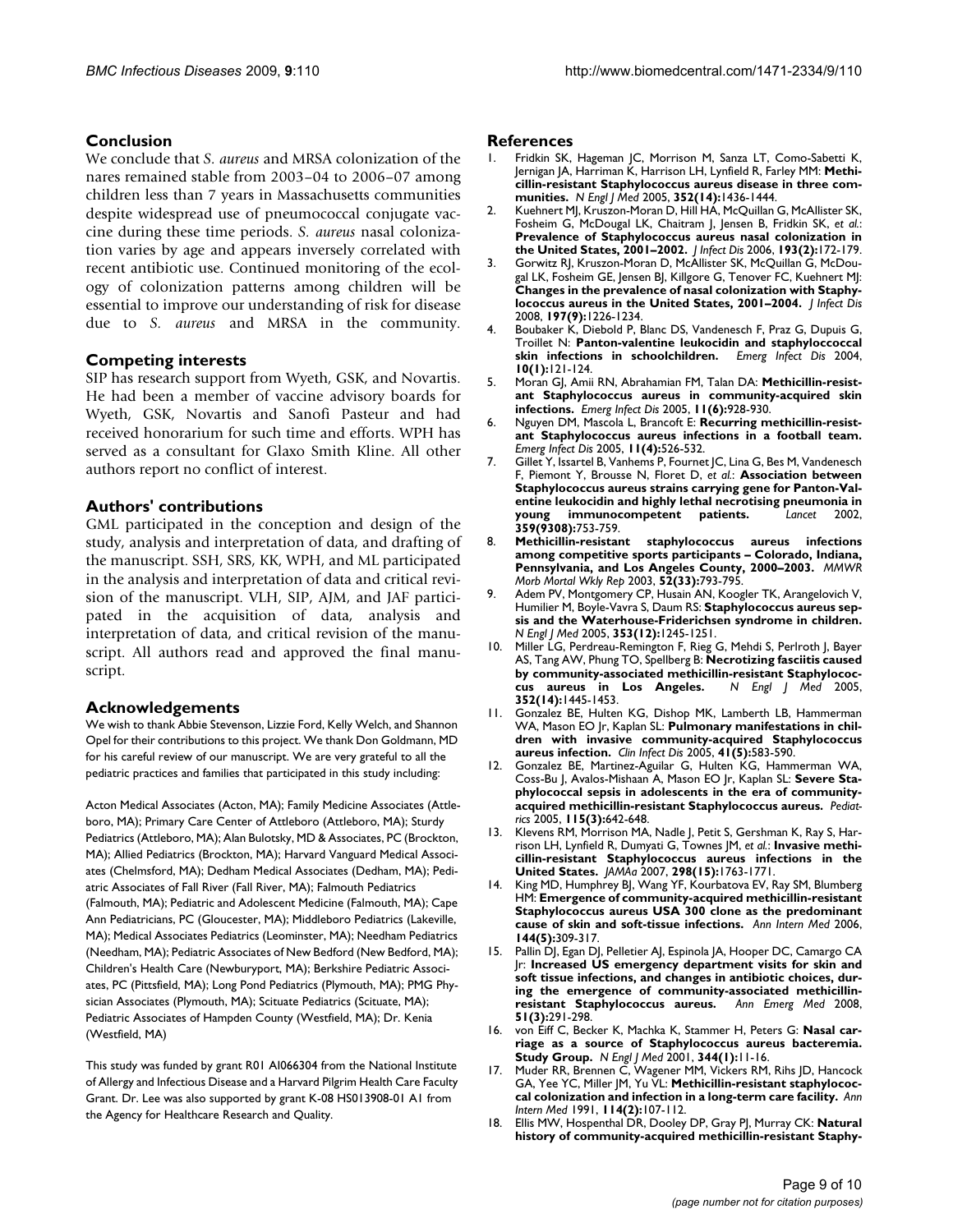# **Conclusion**

We conclude that *S. aureus* and MRSA colonization of the nares remained stable from 2003–04 to 2006–07 among children less than 7 years in Massachusetts communities despite widespread use of pneumococcal conjugate vaccine during these time periods. *S. aureus* nasal colonization varies by age and appears inversely correlated with recent antibiotic use. Continued monitoring of the ecology of colonization patterns among children will be essential to improve our understanding of risk for disease due to *S. aureus* and MRSA in the community.

# **Competing interests**

SIP has research support from Wyeth, GSK, and Novartis. He had been a member of vaccine advisory boards for Wyeth, GSK, Novartis and Sanofi Pasteur and had received honorarium for such time and efforts. WPH has served as a consultant for Glaxo Smith Kline. All other authors report no conflict of interest.

# **Authors' contributions**

GML participated in the conception and design of the study, analysis and interpretation of data, and drafting of the manuscript. SSH, SRS, KK, WPH, and ML participated in the analysis and interpretation of data and critical revision of the manuscript. VLH, SIP, AJM, and JAF participated in the acquisition of data, analysis and interpretation of data, and critical revision of the manuscript. All authors read and approved the final manuscript.

# **Acknowledgements**

We wish to thank Abbie Stevenson, Lizzie Ford, Kelly Welch, and Shannon Opel for their contributions to this project. We thank Don Goldmann, MD for his careful review of our manuscript. We are very grateful to all the pediatric practices and families that participated in this study including:

Acton Medical Associates (Acton, MA); Family Medicine Associates (Attleboro, MA); Primary Care Center of Attleboro (Attleboro, MA); Sturdy Pediatrics (Attleboro, MA); Alan Bulotsky, MD & Associates, PC (Brockton, MA); Allied Pediatrics (Brockton, MA); Harvard Vanguard Medical Associates (Chelmsford, MA); Dedham Medical Associates (Dedham, MA); Pediatric Associates of Fall River (Fall River, MA); Falmouth Pediatrics (Falmouth, MA); Pediatric and Adolescent Medicine (Falmouth, MA); Cape Ann Pediatricians, PC (Gloucester, MA); Middleboro Pediatrics (Lakeville, MA); Medical Associates Pediatrics (Leominster, MA); Needham Pediatrics (Needham, MA); Pediatric Associates of New Bedford (New Bedford, MA); Children's Health Care (Newburyport, MA); Berkshire Pediatric Associates, PC (Pittsfield, MA); Long Pond Pediatrics (Plymouth, MA); PMG Physician Associates (Plymouth, MA); Scituate Pediatrics (Scituate, MA); Pediatric Associates of Hampden County (Westfield, MA); Dr. Kenia (Westfield, MA)

This study was funded by grant R01 AI066304 from the National Institute of Allergy and Infectious Disease and a Harvard Pilgrim Health Care Faculty Grant. Dr. Lee was also supported by grant K-08 HS013908-01 A1 from the Agency for Healthcare Research and Quality.

#### **References**

- Fridkin SK, Hageman JC, Morrison M, Sanza LT, Como-Sabetti K, Jernigan JA, Harriman K, Harrison LH, Lynfield R, Farley MM: **[Methi](http://www.ncbi.nlm.nih.gov/entrez/query.fcgi?cmd=Retrieve&db=PubMed&dopt=Abstract&list_uids=15814879)[cillin-resistant Staphylococcus aureus disease in three com](http://www.ncbi.nlm.nih.gov/entrez/query.fcgi?cmd=Retrieve&db=PubMed&dopt=Abstract&list_uids=15814879)[munities.](http://www.ncbi.nlm.nih.gov/entrez/query.fcgi?cmd=Retrieve&db=PubMed&dopt=Abstract&list_uids=15814879)** *N Engl J Med* 2005, **352(14):**1436-1444.
- 2. Kuehnert MJ, Kruszon-Moran D, Hill HA, McQuillan G, McAllister SK, Fosheim G, McDougal LK, Chaitram J, Jensen B, Fridkin SK, *et al.*: **[Prevalence of Staphylococcus aureus nasal colonization in](http://www.ncbi.nlm.nih.gov/entrez/query.fcgi?cmd=Retrieve&db=PubMed&dopt=Abstract&list_uids=16362880) [the United States, 2001–2002.](http://www.ncbi.nlm.nih.gov/entrez/query.fcgi?cmd=Retrieve&db=PubMed&dopt=Abstract&list_uids=16362880)** *J Infect Dis* 2006, **193(2):**172-179.
- 3. Gorwitz RJ, Kruszon-Moran D, McAllister SK, McQuillan G, McDougal LK, Fosheim GE, Jensen BJ, Killgore G, Tenover FC, Kuehnert MJ: **[Changes in the prevalence of nasal colonization with Staphy](http://www.ncbi.nlm.nih.gov/entrez/query.fcgi?cmd=Retrieve&db=PubMed&dopt=Abstract&list_uids=18422434)[lococcus aureus in the United States, 2001–2004.](http://www.ncbi.nlm.nih.gov/entrez/query.fcgi?cmd=Retrieve&db=PubMed&dopt=Abstract&list_uids=18422434)** *J Infect Dis* 2008, **197(9):**1226-1234.
- 4. Boubaker K, Diebold P, Blanc DS, Vandenesch F, Praz G, Dupuis G, Troillet N: **[Panton-valentine leukocidin and staphyloccoccal](http://www.ncbi.nlm.nih.gov/entrez/query.fcgi?cmd=Retrieve&db=PubMed&dopt=Abstract&list_uids=15078606) [skin infections in schoolchildren.](http://www.ncbi.nlm.nih.gov/entrez/query.fcgi?cmd=Retrieve&db=PubMed&dopt=Abstract&list_uids=15078606)** *Emerg Infect Dis* 2004, **10(1):**121-124.
- 5. Moran GJ, Amii RN, Abrahamian FM, Talan DA: **[Methicillin-resist](http://www.ncbi.nlm.nih.gov/entrez/query.fcgi?cmd=Retrieve&db=PubMed&dopt=Abstract&list_uids=15963289)[ant Staphylococcus aureus in community-acquired skin](http://www.ncbi.nlm.nih.gov/entrez/query.fcgi?cmd=Retrieve&db=PubMed&dopt=Abstract&list_uids=15963289) [infections.](http://www.ncbi.nlm.nih.gov/entrez/query.fcgi?cmd=Retrieve&db=PubMed&dopt=Abstract&list_uids=15963289)** *Emerg Infect Dis* 2005, **11(6):**928-930.
- 6. Nguyen DM, Mascola L, Brancoft E: **[Recurring methicillin-resist](http://www.ncbi.nlm.nih.gov/entrez/query.fcgi?cmd=Retrieve&db=PubMed&dopt=Abstract&list_uids=15829189)[ant Staphylococcus aureus infections in a football team.](http://www.ncbi.nlm.nih.gov/entrez/query.fcgi?cmd=Retrieve&db=PubMed&dopt=Abstract&list_uids=15829189)** *Emerg Infect Dis* 2005, **11(4):**526-532.
- 7. Gillet Y, Issartel B, Vanhems P, Fournet JC, Lina G, Bes M, Vandenesch F, Piemont Y, Brousse N, Floret D, *et al.*: **[Association between](http://www.ncbi.nlm.nih.gov/entrez/query.fcgi?cmd=Retrieve&db=PubMed&dopt=Abstract&list_uids=11888586) [Staphylococcus aureus strains carrying gene for Panton-Val](http://www.ncbi.nlm.nih.gov/entrez/query.fcgi?cmd=Retrieve&db=PubMed&dopt=Abstract&list_uids=11888586)entine leukocidin and highly lethal necrotising pneumonia in [young immunocompetent patients.](http://www.ncbi.nlm.nih.gov/entrez/query.fcgi?cmd=Retrieve&db=PubMed&dopt=Abstract&list_uids=11888586)** *Lancet* 2002, **359(9308):**753-759.
- 8. **[Methicillin-resistant staphylococcus aureus infections](http://www.ncbi.nlm.nih.gov/entrez/query.fcgi?cmd=Retrieve&db=PubMed&dopt=Abstract&list_uids=12931079) [among competitive sports participants – Colorado, Indiana,](http://www.ncbi.nlm.nih.gov/entrez/query.fcgi?cmd=Retrieve&db=PubMed&dopt=Abstract&list_uids=12931079) [Pennsylvania, and Los Angeles County, 2000–2003.](http://www.ncbi.nlm.nih.gov/entrez/query.fcgi?cmd=Retrieve&db=PubMed&dopt=Abstract&list_uids=12931079)** *MMWR Morb Mortal Wkly Rep* 2003, **52(33):**793-795.
- Adem PV, Montgomery CP, Husain AN, Koogler TK, Arangelovich V, Humilier M, Boyle-Vavra S, Daum RS: **[Staphylococcus aureus sep](http://www.ncbi.nlm.nih.gov/entrez/query.fcgi?cmd=Retrieve&db=PubMed&dopt=Abstract&list_uids=16177250)[sis and the Waterhouse-Friderichsen syndrome in children.](http://www.ncbi.nlm.nih.gov/entrez/query.fcgi?cmd=Retrieve&db=PubMed&dopt=Abstract&list_uids=16177250)** *N Engl J Med* 2005, **353(12):**1245-1251.
- 10. Miller LG, Perdreau-Remington F, Rieg G, Mehdi S, Perlroth J, Bayer AS, Tang AW, Phung TO, Spellberg B: **[Necrotizing fasciitis caused](http://www.ncbi.nlm.nih.gov/entrez/query.fcgi?cmd=Retrieve&db=PubMed&dopt=Abstract&list_uids=15814880) [by community-associated methicillin-resistant Staphylococ](http://www.ncbi.nlm.nih.gov/entrez/query.fcgi?cmd=Retrieve&db=PubMed&dopt=Abstract&list_uids=15814880)[cus aureus in Los Angeles.](http://www.ncbi.nlm.nih.gov/entrez/query.fcgi?cmd=Retrieve&db=PubMed&dopt=Abstract&list_uids=15814880)** *N Engl J Med* 2005, **352(14):**1445-1453.
- 11. Gonzalez BE, Hulten KG, Dishop MK, Lamberth LB, Hammerman WA, Mason EO Jr, Kaplan SL: **[Pulmonary manifestations in chil](http://www.ncbi.nlm.nih.gov/entrez/query.fcgi?cmd=Retrieve&db=PubMed&dopt=Abstract&list_uids=16080077)[dren with invasive community-acquired Staphylococcus](http://www.ncbi.nlm.nih.gov/entrez/query.fcgi?cmd=Retrieve&db=PubMed&dopt=Abstract&list_uids=16080077) [aureus infection.](http://www.ncbi.nlm.nih.gov/entrez/query.fcgi?cmd=Retrieve&db=PubMed&dopt=Abstract&list_uids=16080077)** *Clin Infect Dis* 2005, **41(5):**583-590.
- 12. Gonzalez BE, Martinez-Aguilar G, Hulten KG, Hammerman WA, Coss-Bu J, Avalos-Mishaan A, Mason EO Jr, Kaplan SL: **[Severe Sta](http://www.ncbi.nlm.nih.gov/entrez/query.fcgi?cmd=Retrieve&db=PubMed&dopt=Abstract&list_uids=15741366)[phylococcal sepsis in adolescents in the era of community](http://www.ncbi.nlm.nih.gov/entrez/query.fcgi?cmd=Retrieve&db=PubMed&dopt=Abstract&list_uids=15741366)[acquired methicillin-resistant Staphylococcus aureus.](http://www.ncbi.nlm.nih.gov/entrez/query.fcgi?cmd=Retrieve&db=PubMed&dopt=Abstract&list_uids=15741366)** *Pediatrics* 2005, **115(3):**642-648.
- 13. Klevens RM, Morrison MA, Nadle J, Petit S, Gershman K, Ray S, Harrison LH, Lynfield R, Dumyati G, Townes JM, *et al.*: **Invasive methicillin-resistant Staphylococcus aureus infections in the United States.** *JAMAa* 2007, **298(15):**1763-1771.
- King MD, Humphrey BJ, Wang YF, Kourbatova EV, Ray SM, Blumberg HM: **[Emergence of community-acquired methicillin-resistant](http://www.ncbi.nlm.nih.gov/entrez/query.fcgi?cmd=Retrieve&db=PubMed&dopt=Abstract&list_uids=16520471) [Staphylococcus aureus USA 300 clone as the predominant](http://www.ncbi.nlm.nih.gov/entrez/query.fcgi?cmd=Retrieve&db=PubMed&dopt=Abstract&list_uids=16520471) [cause of skin and soft-tissue infections.](http://www.ncbi.nlm.nih.gov/entrez/query.fcgi?cmd=Retrieve&db=PubMed&dopt=Abstract&list_uids=16520471)** *Ann Intern Med* 2006, **144(5):**309-317.
- 15. Pallin DJ, Egan DJ, Pelletier AJ, Espinola JA, Hooper DC, Camargo CA Jr: **[Increased US emergency department visits for skin and](http://www.ncbi.nlm.nih.gov/entrez/query.fcgi?cmd=Retrieve&db=PubMed&dopt=Abstract&list_uids=18222564) [soft tissue infections, and changes in antibiotic choices, dur](http://www.ncbi.nlm.nih.gov/entrez/query.fcgi?cmd=Retrieve&db=PubMed&dopt=Abstract&list_uids=18222564)ing the emergence of community-associated methicillin[resistant Staphylococcus aureus.](http://www.ncbi.nlm.nih.gov/entrez/query.fcgi?cmd=Retrieve&db=PubMed&dopt=Abstract&list_uids=18222564)** *Ann Emerg Med* 2008, **51(3):**291-298.
- 16. von Eiff C, Becker K, Machka K, Stammer H, Peters G: **[Nasal car](http://www.ncbi.nlm.nih.gov/entrez/query.fcgi?cmd=Retrieve&db=PubMed&dopt=Abstract&list_uids=11136954)[riage as a source of Staphylococcus aureus bacteremia.](http://www.ncbi.nlm.nih.gov/entrez/query.fcgi?cmd=Retrieve&db=PubMed&dopt=Abstract&list_uids=11136954) [Study Group.](http://www.ncbi.nlm.nih.gov/entrez/query.fcgi?cmd=Retrieve&db=PubMed&dopt=Abstract&list_uids=11136954)** *N Engl J Med* 2001, **344(1):**11-16.
- 17. Muder RR, Brennen C, Wagener MM, Vickers RM, Rihs JD, Hancock GA, Yee YC, Miller JM, Yu VL: **[Methicillin-resistant staphylococ](http://www.ncbi.nlm.nih.gov/entrez/query.fcgi?cmd=Retrieve&db=PubMed&dopt=Abstract&list_uids=1984384)[cal colonization and infection in a long-term care facility.](http://www.ncbi.nlm.nih.gov/entrez/query.fcgi?cmd=Retrieve&db=PubMed&dopt=Abstract&list_uids=1984384)** *Ann Intern Med* 1991, **114(2):**107-112.
- 18. Ellis MW, Hospenthal DR, Dooley DP, Gray PJ, Murray CK: **[Natural](http://www.ncbi.nlm.nih.gov/entrez/query.fcgi?cmd=Retrieve&db=PubMed&dopt=Abstract&list_uids=15472848) [history of community-acquired methicillin-resistant Staphy](http://www.ncbi.nlm.nih.gov/entrez/query.fcgi?cmd=Retrieve&db=PubMed&dopt=Abstract&list_uids=15472848)-**